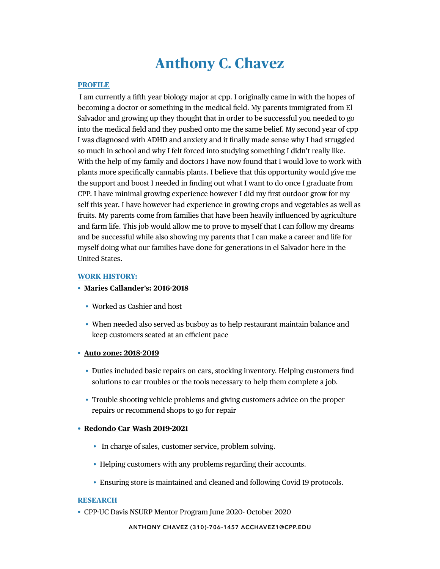# **Anthony C. Chavez**

#### **PROFILE**

 I am currently a fifth year biology major at cpp. I originally came in with the hopes of becoming a doctor or something in the medical field. My parents immigrated from El Salvador and growing up they thought that in order to be successful you needed to go into the medical field and they pushed onto me the same belief. My second year of cpp I was diagnosed with ADHD and anxiety and it finally made sense why I had struggled so much in school and why I felt forced into studying something I didn't really like. With the help of my family and doctors I have now found that I would love to work with plants more specifically cannabis plants. I believe that this opportunity would give me the support and boost I needed in finding out what I want to do once I graduate from CPP. I have minimal growing experience however I did my first outdoor grow for my self this year. I have however had experience in growing crops and vegetables as well as fruits. My parents come from families that have been heavily influenced by agriculture and farm life. This job would allow me to prove to myself that I can follow my dreams and be successful while also showing my parents that I can make a career and life for myself doing what our families have done for generations in el Salvador here in the United States.

#### **WORK HISTORY:**

### • **Maries Callander's: 2016-2018**

- Worked as Cashier and host
- When needed also served as busboy as to help restaurant maintain balance and keep customers seated at an efficient pace

#### • **Auto zone: 2018-2019**

- Duties included basic repairs on cars, stocking inventory. Helping customers find solutions to car troubles or the tools necessary to help them complete a job.
- Trouble shooting vehicle problems and giving customers advice on the proper repairs or recommend shops to go for repair

## **• Redondo Car Wash 2019-2021**

- In charge of sales, customer service, problem solving.
- Helping customers with any problems regarding their accounts.
- Ensuring store is maintained and cleaned and following Covid 19 protocols.

#### **RESEARCH**

• CPP-UC Davis NSURP Mentor Program June 2020- October 2020